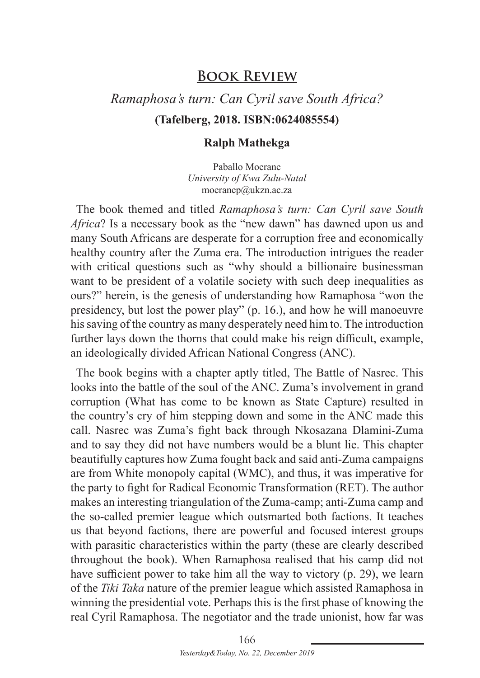## **Book Review**

## *Ramaphosa's turn: Can Cyril save South Africa?* **(Tafelberg, 2018. ISBN:0624085554)**

## **Ralph Mathekga**

Paballo Moerane *University of Kwa Zulu-Natal* moeranep@ukzn.ac.za

The book themed and titled *Ramaphosa's turn: Can Cyril save South Africa*? Is a necessary book as the "new dawn" has dawned upon us and many South Africans are desperate for a corruption free and economically healthy country after the Zuma era. The introduction intrigues the reader with critical questions such as "why should a billionaire businessman want to be president of a volatile society with such deep inequalities as ours?" herein, is the genesis of understanding how Ramaphosa "won the presidency, but lost the power play" (p. 16.), and how he will manoeuvre his saving of the country as many desperately need him to. The introduction further lays down the thorns that could make his reign difficult, example, an ideologically divided African National Congress (ANC).

The book begins with a chapter aptly titled, The Battle of Nasrec. This looks into the battle of the soul of the ANC. Zuma's involvement in grand corruption (What has come to be known as State Capture) resulted in the country's cry of him stepping down and some in the ANC made this call. Nasrec was Zuma's fight back through Nkosazana Dlamini-Zuma and to say they did not have numbers would be a blunt lie. This chapter beautifully captures how Zuma fought back and said anti-Zuma campaigns are from White monopoly capital (WMC), and thus, it was imperative for the party to fight for Radical Economic Transformation (RET). The author makes an interesting triangulation of the Zuma-camp; anti-Zuma camp and the so-called premier league which outsmarted both factions. It teaches us that beyond factions, there are powerful and focused interest groups with parasitic characteristics within the party (these are clearly described throughout the book). When Ramaphosa realised that his camp did not have sufficient power to take him all the way to victory (p. 29), we learn of the *Tiki Taka* nature of the premier league which assisted Ramaphosa in winning the presidential vote. Perhaps this is the first phase of knowing the real Cyril Ramaphosa. The negotiator and the trade unionist, how far was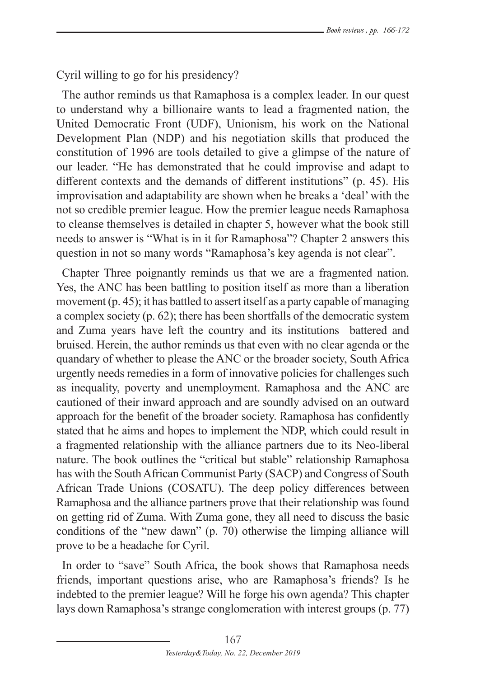Cyril willing to go for his presidency?

The author reminds us that Ramaphosa is a complex leader. In our quest to understand why a billionaire wants to lead a fragmented nation, the United Democratic Front (UDF), Unionism, his work on the National Development Plan (NDP) and his negotiation skills that produced the constitution of 1996 are tools detailed to give a glimpse of the nature of our leader. "He has demonstrated that he could improvise and adapt to different contexts and the demands of different institutions" (p. 45). His improvisation and adaptability are shown when he breaks a 'deal' with the not so credible premier league. How the premier league needs Ramaphosa to cleanse themselves is detailed in chapter 5, however what the book still needs to answer is "What is in it for Ramaphosa"? Chapter 2 answers this question in not so many words "Ramaphosa's key agenda is not clear".

Chapter Three poignantly reminds us that we are a fragmented nation. Yes, the ANC has been battling to position itself as more than a liberation movement (p. 45); it has battled to assert itself as a party capable of managing a complex society (p. 62); there has been shortfalls of the democratic system and Zuma years have left the country and its institutions battered and bruised. Herein, the author reminds us that even with no clear agenda or the quandary of whether to please the ANC or the broader society, South Africa urgently needs remedies in a form of innovative policies for challenges such as inequality, poverty and unemployment. Ramaphosa and the ANC are cautioned of their inward approach and are soundly advised on an outward approach for the benefit of the broader society. Ramaphosa has confidently stated that he aims and hopes to implement the NDP, which could result in a fragmented relationship with the alliance partners due to its Neo-liberal nature. The book outlines the "critical but stable" relationship Ramaphosa has with the South African Communist Party (SACP) and Congress of South African Trade Unions (COSATU). The deep policy differences between Ramaphosa and the alliance partners prove that their relationship was found on getting rid of Zuma. With Zuma gone, they all need to discuss the basic conditions of the "new dawn" (p. 70) otherwise the limping alliance will prove to be a headache for Cyril.

In order to "save" South Africa, the book shows that Ramaphosa needs friends, important questions arise, who are Ramaphosa's friends? Is he indebted to the premier league? Will he forge his own agenda? This chapter lays down Ramaphosa's strange conglomeration with interest groups (p. 77)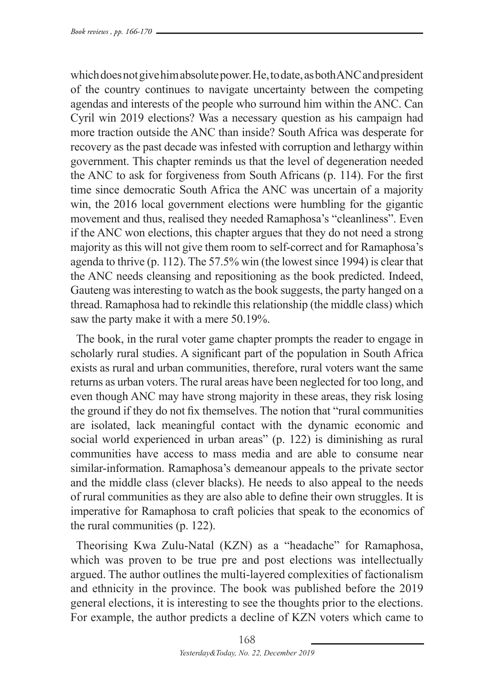which does not give him absolute power. He, to date, as both ANC and president of the country continues to navigate uncertainty between the competing agendas and interests of the people who surround him within the ANC. Can Cyril win 2019 elections? Was a necessary question as his campaign had more traction outside the ANC than inside? South Africa was desperate for recovery as the past decade was infested with corruption and lethargy within government. This chapter reminds us that the level of degeneration needed the ANC to ask for forgiveness from South Africans (p. 114). For the first time since democratic South Africa the ANC was uncertain of a majority win, the 2016 local government elections were humbling for the gigantic movement and thus, realised they needed Ramaphosa's "cleanliness". Even if the ANC won elections, this chapter argues that they do not need a strong majority as this will not give them room to self-correct and for Ramaphosa's agenda to thrive (p. 112). The 57.5% win (the lowest since 1994) is clear that the ANC needs cleansing and repositioning as the book predicted. Indeed, Gauteng was interesting to watch as the book suggests, the party hanged on a thread. Ramaphosa had to rekindle this relationship (the middle class) which saw the party make it with a mere 50.19%.

The book, in the rural voter game chapter prompts the reader to engage in scholarly rural studies. A significant part of the population in South Africa exists as rural and urban communities, therefore, rural voters want the same returns as urban voters. The rural areas have been neglected for too long, and even though ANC may have strong majority in these areas, they risk losing the ground if they do not fix themselves. The notion that "rural communities are isolated, lack meaningful contact with the dynamic economic and social world experienced in urban areas" (p. 122) is diminishing as rural communities have access to mass media and are able to consume near similar-information. Ramaphosa's demeanour appeals to the private sector and the middle class (clever blacks). He needs to also appeal to the needs of rural communities as they are also able to define their own struggles. It is imperative for Ramaphosa to craft policies that speak to the economics of the rural communities (p. 122).

Theorising Kwa Zulu-Natal (KZN) as a "headache" for Ramaphosa, which was proven to be true pre and post elections was intellectually argued. The author outlines the multi-layered complexities of factionalism and ethnicity in the province. The book was published before the 2019 general elections, it is interesting to see the thoughts prior to the elections. For example, the author predicts a decline of KZN voters which came to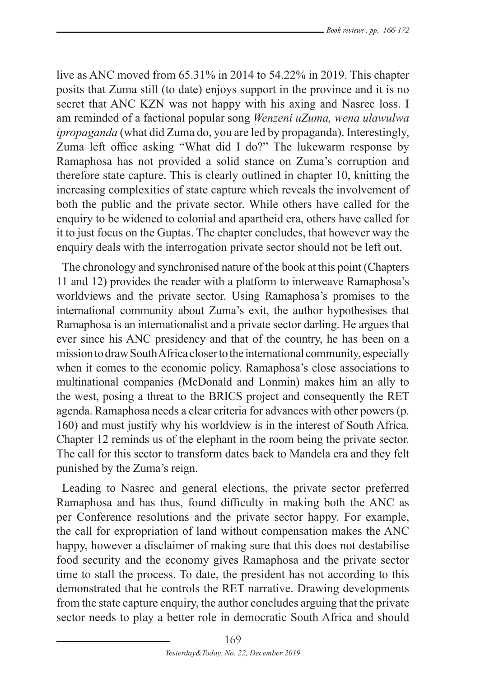live as ANC moved from 65.31% in 2014 to 54.22% in 2019. This chapter posits that Zuma still (to date) enjoys support in the province and it is no secret that ANC KZN was not happy with his axing and Nasrec loss. I am reminded of a factional popular song *Wenzeni uZuma, wena ulawulwa ipropaganda* (what did Zuma do, you are led by propaganda). Interestingly, Zuma left office asking "What did I do?" The lukewarm response by Ramaphosa has not provided a solid stance on Zuma's corruption and therefore state capture. This is clearly outlined in chapter 10, knitting the increasing complexities of state capture which reveals the involvement of both the public and the private sector. While others have called for the enquiry to be widened to colonial and apartheid era, others have called for it to just focus on the Guptas. The chapter concludes, that however way the enquiry deals with the interrogation private sector should not be left out.

The chronology and synchronised nature of the book at this point (Chapters 11 and 12) provides the reader with a platform to interweave Ramaphosa's worldviews and the private sector. Using Ramaphosa's promises to the international community about Zuma's exit, the author hypothesises that Ramaphosa is an internationalist and a private sector darling. He argues that ever since his ANC presidency and that of the country, he has been on a mission to draw South Africa closer to the international community, especially when it comes to the economic policy. Ramaphosa's close associations to multinational companies (McDonald and Lonmin) makes him an ally to the west, posing a threat to the BRICS project and consequently the RET agenda. Ramaphosa needs a clear criteria for advances with other powers (p. 160) and must justify why his worldview is in the interest of South Africa. Chapter 12 reminds us of the elephant in the room being the private sector. The call for this sector to transform dates back to Mandela era and they felt punished by the Zuma's reign.

Leading to Nasrec and general elections, the private sector preferred Ramaphosa and has thus, found difficulty in making both the ANC as per Conference resolutions and the private sector happy. For example, the call for expropriation of land without compensation makes the ANC happy, however a disclaimer of making sure that this does not destabilise food security and the economy gives Ramaphosa and the private sector time to stall the process. To date, the president has not according to this demonstrated that he controls the RET narrative. Drawing developments from the state capture enquiry, the author concludes arguing that the private sector needs to play a better role in democratic South Africa and should